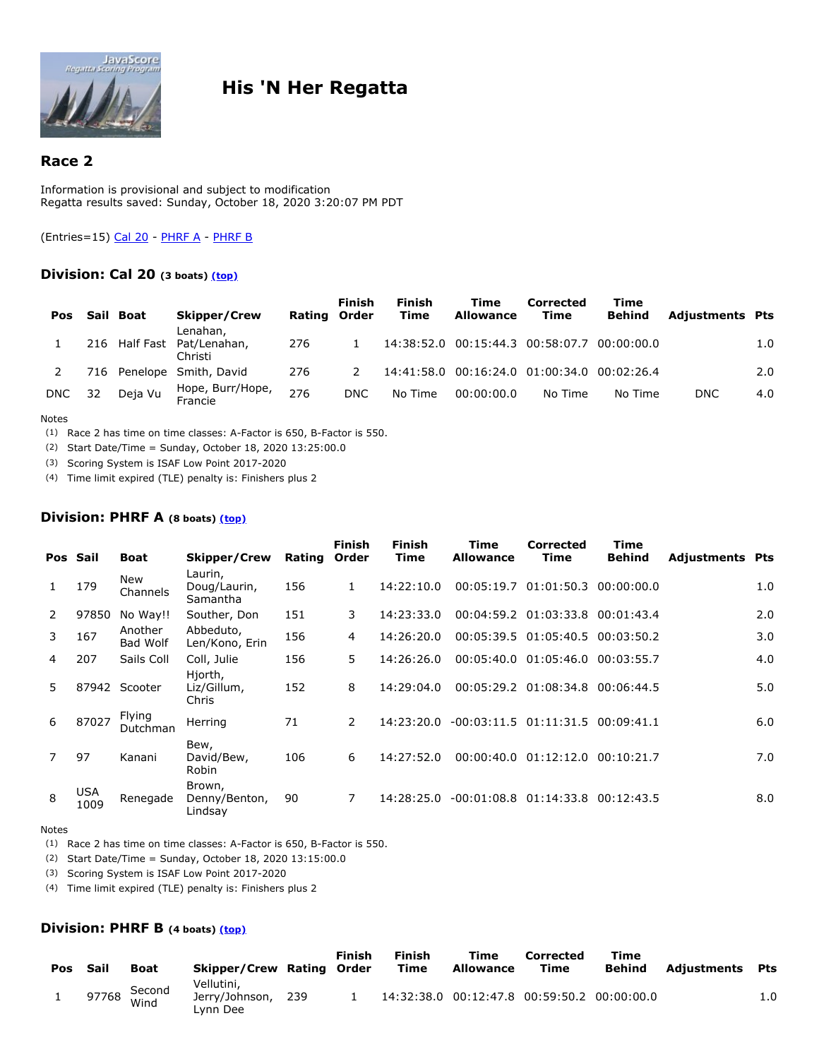

# **His 'N Her Regatta**

## **Race 2**

Information is provisional and subject to modification Regatta results saved: Sunday, October 18, 2020 3:20:07 PM PDT

<span id="page-0-0"></span>(Entries=15) Cal 20 - PHRF A - PHRF B

### **Division: Cal 20 (3 boats) [\(top\)](#page-0-0)**

| Pos        |     | Sail Boat | <b>Skipper/Crew</b><br>Lenahan,       | Rating Order | Finish        | <b>Finish</b><br>Time | Time<br><b>Allowance</b>                    | Corrected<br>Time | Time<br><b>Behind</b> | <b>Adjustments Pts</b> |     |
|------------|-----|-----------|---------------------------------------|--------------|---------------|-----------------------|---------------------------------------------|-------------------|-----------------------|------------------------|-----|
|            |     |           | 216 Half Fast Pat/Lenahan,<br>Christi | 276          |               |                       | 14:38:52.0 00:15:44.3 00:58:07.7 00:00:00.0 |                   |                       |                        | 1.0 |
|            | 716 |           | Penelope Smith, David                 | 276          | $\mathcal{L}$ |                       | 14:41:58.0 00:16:24.0 01:00:34.0 00:02:26.4 |                   |                       |                        | 2.0 |
| <b>DNC</b> | 32  | Deja Vu   | Hope, Burr/Hope,<br>Francie           | 276          | DNC           | No Time               | 00:00:00.0                                  | No Time           | No Time               | <b>DNC</b>             | 4.0 |

#### Notes

(1) Race 2 has time on time classes: A-Factor is 650, B-Factor is 550.

(2) Start Date/Time = Sunday, October 18, 2020 13:25:00.0

(3) Scoring System is ISAF Low Point 2017-2020

(4) Time limit expired (TLE) penalty is: Finishers plus 2

### **Division: PHRF A (8 boats) [\(top\)](#page-0-0)**

|    | Pos Sail           | <b>Boat</b>         | Skipper/Crew                        | Rating | <b>Finish</b><br>Order | Finish<br>Time | Time<br><b>Allowance</b>   | <b>Corrected</b><br>Time  | Time<br><b>Behind</b> | <b>Adjustments Pts</b> |     |
|----|--------------------|---------------------|-------------------------------------|--------|------------------------|----------------|----------------------------|---------------------------|-----------------------|------------------------|-----|
|    | 179                | New<br>Channels     | Laurin,<br>Doug/Laurin,<br>Samantha | 156    | 1                      | 14:22:10.0     |                            | 00:05:19.7 01:01:50.3     | 0.00:00:00.0          |                        | 1.0 |
| 2  | 97850              | No Way!!            | Souther, Don                        | 151    | 3                      | 14:23:33.0     |                            | $00:04:59.2$ $01:03:33.8$ | 00:01:43.4            |                        | 2.0 |
| 3  | 167                | Another<br>Bad Wolf | Abbeduto,<br>Len/Kono, Erin         | 156    | 4                      | 14:26:20.0     |                            | $00:05:39.5$ $01:05:40.5$ | 00:03:50.2            |                        | 3.0 |
| 4  | 207                | Sails Coll          | Coll, Julie                         | 156    | 5.                     | 14:26:26.0     |                            | 00:05:40.0 01:05:46.0     | 00:03:55.7            |                        | 4.0 |
| 5. |                    | 87942 Scooter       | Hjorth,<br>Liz/Gillum,<br>Chris     | 152    | 8                      | 14:29:04.0     |                            | 00:05:29.2 01:08:34.8     | 00:06:44.5            |                        | 5.0 |
| 6  | 87027              | Flying<br>Dutchman  | Herring                             | 71     | $\overline{2}$         | 14:23:20.0     | $-00:03:11.5$ $01:11:31.5$ |                           | 00:09:41.1            |                        | 6.0 |
|    | 97                 | Kanani              | Bew,<br>David/Bew,<br><b>Robin</b>  | 106    | 6                      | 14:27:52.0     | 00:00:40.0                 | 01:12:12.0                | 00:10:21.7            |                        | 7.0 |
| 8  | <b>USA</b><br>1009 | Renegade            | Brown,<br>Denny/Benton,<br>Lindsay  | 90     | 7                      | 14:28:25.0     | $-00:01:08.8$ $01:14:33.8$ |                           | 00:12:43.5            |                        | 8.0 |

#### Notes

(1) Race 2 has time on time classes: A-Factor is 650, B-Factor is 550.

(2) Start Date/Time = Sunday, October 18, 2020 13:15:00.0

(3) Scoring System is ISAF Low Point 2017-2020

(4) Time limit expired (TLE) penalty is: Finishers plus 2

#### **Division: PHRF B (4 boats) [\(top\)](#page-0-0)**

| Pos Sail | <b>Boat</b>          | Skipper/Crew Rating Order                |       | Finish | <b>Finish</b><br>Time | Time<br><b>Allowance</b>                    | Corrected<br>Time | Time<br>Behind | Adiustments | Pts |
|----------|----------------------|------------------------------------------|-------|--------|-----------------------|---------------------------------------------|-------------------|----------------|-------------|-----|
|          | 97768 Second<br>Wind | Vellutini.<br>Jerry/Johnson,<br>Lvnn Dee | - 239 |        |                       | 14:32:38.0 00:12:47.8 00:59:50.2 00:00:00.0 |                   |                |             | 1.0 |